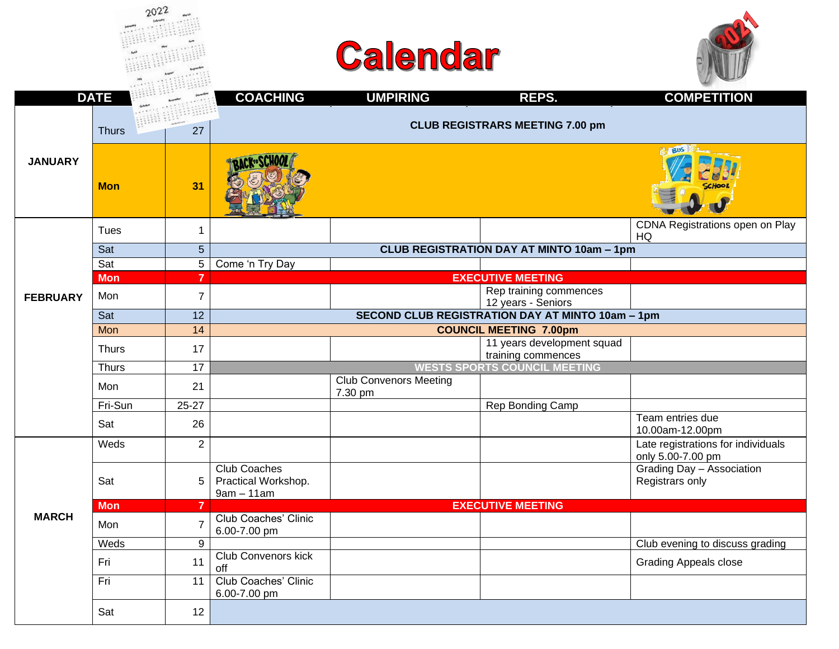|                 | <b>DATE</b>  |                | <b>COACHING</b>                                            | <b>UMPIRING</b>                          | REPS.                                                   | <b>COMPETITION</b>                                      |  |  |  |
|-----------------|--------------|----------------|------------------------------------------------------------|------------------------------------------|---------------------------------------------------------|---------------------------------------------------------|--|--|--|
|                 | <b>Thurs</b> | 27             |                                                            | <b>CLUB REGISTRARS MEETING 7.00 pm</b>   |                                                         |                                                         |  |  |  |
| <b>JANUARY</b>  | <b>Mon</b>   | 31             |                                                            |                                          |                                                         | <b>BUS</b>                                              |  |  |  |
|                 | Tues         | 1              |                                                            |                                          |                                                         | CDNA Registrations open on Play<br>HQ                   |  |  |  |
|                 | Sat          | 5 <sup>5</sup> |                                                            |                                          | <b>CLUB REGISTRATION DAY AT MINTO 10am - 1pm</b>        |                                                         |  |  |  |
|                 | Sat          | 5              | Come 'n Try Day                                            |                                          |                                                         |                                                         |  |  |  |
|                 | <b>Mon</b>   | $\overline{7}$ |                                                            |                                          | <b>EXECUTIVE MEETING</b>                                |                                                         |  |  |  |
| <b>FEBRUARY</b> | Mon          | $\overline{7}$ |                                                            |                                          | Rep training commences<br>12 years - Seniors            |                                                         |  |  |  |
|                 | Sat          | 12             |                                                            |                                          | <b>SECOND CLUB REGISTRATION DAY AT MINTO 10am - 1pm</b> |                                                         |  |  |  |
|                 | Mon          | 14             |                                                            |                                          | <b>COUNCIL MEETING 7.00pm</b>                           |                                                         |  |  |  |
|                 | <b>Thurs</b> | 17             |                                                            |                                          | 11 years development squad<br>training commences        |                                                         |  |  |  |
|                 | <b>Thurs</b> | 17             |                                                            |                                          | <b>WESTS SPORTS COUNCIL MEETING</b>                     |                                                         |  |  |  |
|                 | Mon          | 21             |                                                            | <b>Club Convenors Meeting</b><br>7.30 pm |                                                         |                                                         |  |  |  |
|                 | Fri-Sun      | $25 - 27$      |                                                            |                                          | Rep Bonding Camp                                        |                                                         |  |  |  |
|                 | Sat          | 26             |                                                            |                                          |                                                         | Team entries due<br>10.00am-12.00pm                     |  |  |  |
|                 | Weds         | $\overline{2}$ |                                                            |                                          |                                                         | Late registrations for individuals<br>only 5.00-7.00 pm |  |  |  |
|                 | Sat          | 5              | <b>Club Coaches</b><br>Practical Workshop.<br>$9am - 11am$ |                                          |                                                         | Grading Day - Association<br>Registrars only            |  |  |  |
|                 | <b>Mon</b>   | $\overline{7}$ |                                                            |                                          | <b>EXECUTIVE MEETING</b>                                |                                                         |  |  |  |
| <b>MARCH</b>    | Mon          | $\overline{7}$ | Club Coaches' Clinic<br>6.00-7.00 pm                       |                                          |                                                         |                                                         |  |  |  |
|                 | Weds         | 9              |                                                            |                                          |                                                         | Club evening to discuss grading                         |  |  |  |
|                 | Fri          | 11             | <b>Club Convenors kick</b><br>off                          |                                          |                                                         | <b>Grading Appeals close</b>                            |  |  |  |
|                 | Fri          | 11             | Club Coaches' Clinic<br>6.00-7.00 pm                       |                                          |                                                         |                                                         |  |  |  |
|                 | Sat          | 12             |                                                            |                                          |                                                         |                                                         |  |  |  |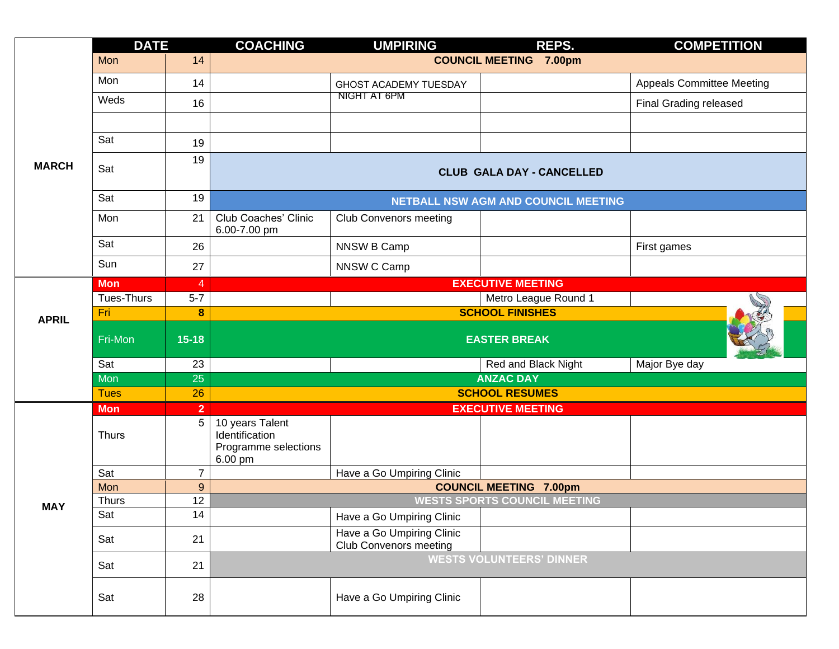|              | <b>DATE</b>       | <b>COACHING</b> |                                                                      | <b>UMPIRING</b>                                            | REPS.                               | <b>COMPETITION</b>               |  |  |  |  |  |  |  |
|--------------|-------------------|-----------------|----------------------------------------------------------------------|------------------------------------------------------------|-------------------------------------|----------------------------------|--|--|--|--|--|--|--|
|              | Mon               | 14              | <b>COUNCIL MEETING 7.00pm</b>                                        |                                                            |                                     |                                  |  |  |  |  |  |  |  |
|              | Mon               | 14              |                                                                      | GHOST ACADEMY TUESDAY                                      |                                     | <b>Appeals Committee Meeting</b> |  |  |  |  |  |  |  |
|              | Weds              | 16              |                                                                      | NIGHT AT 6PM                                               |                                     | <b>Final Grading released</b>    |  |  |  |  |  |  |  |
|              |                   |                 |                                                                      |                                                            |                                     |                                  |  |  |  |  |  |  |  |
|              | Sat               | 19              |                                                                      |                                                            |                                     |                                  |  |  |  |  |  |  |  |
| <b>MARCH</b> | Sat               | 19              |                                                                      | <b>CLUB GALA DAY - CANCELLED</b>                           |                                     |                                  |  |  |  |  |  |  |  |
|              | Sat               | 19              |                                                                      |                                                            | NETBALL NSW AGM AND COUNCIL MEETING |                                  |  |  |  |  |  |  |  |
|              | Mon               | 21              | Club Coaches' Clinic<br>6.00-7.00 pm                                 | <b>Club Convenors meeting</b>                              |                                     |                                  |  |  |  |  |  |  |  |
|              | Sat               | 26              |                                                                      | NNSW B Camp                                                |                                     | First games                      |  |  |  |  |  |  |  |
|              | Sun               | 27              |                                                                      | NNSW C Camp                                                |                                     |                                  |  |  |  |  |  |  |  |
|              | <b>Mon</b>        | $\overline{4}$  |                                                                      |                                                            | <b>EXECUTIVE MEETING</b>            |                                  |  |  |  |  |  |  |  |
| <b>APRIL</b> | <b>Tues-Thurs</b> | $5 - 7$         |                                                                      |                                                            | Metro League Round 1                |                                  |  |  |  |  |  |  |  |
|              | Fri               | 8               |                                                                      |                                                            | <b>SCHOOL FINISHES</b>              |                                  |  |  |  |  |  |  |  |
|              | Fri-Mon           | $15 - 18$       |                                                                      |                                                            | <b>EASTER BREAK</b>                 |                                  |  |  |  |  |  |  |  |
|              | Sat               | 23              |                                                                      |                                                            | Red and Black Night                 | Major Bye day                    |  |  |  |  |  |  |  |
|              | Mon               | 25              |                                                                      |                                                            | <b>ANZAC DAY</b>                    |                                  |  |  |  |  |  |  |  |
|              | <b>Tues</b>       | 26              |                                                                      |                                                            | <b>SCHOOL RESUMES</b>               |                                  |  |  |  |  |  |  |  |
|              | <b>Mon</b>        | $\overline{2}$  |                                                                      |                                                            | <b>EXECUTIVE MEETING</b>            |                                  |  |  |  |  |  |  |  |
|              | <b>Thurs</b>      | 5 <sup>5</sup>  | 10 years Talent<br>Identification<br>Programme selections<br>6.00 pm |                                                            |                                     |                                  |  |  |  |  |  |  |  |
|              | Sat               | $\overline{7}$  |                                                                      | Have a Go Umpiring Clinic                                  |                                     |                                  |  |  |  |  |  |  |  |
|              | Mon               | $\overline{9}$  | <b>COUNCIL MEETING 7.00pm</b>                                        |                                                            |                                     |                                  |  |  |  |  |  |  |  |
|              | <b>Thurs</b>      | 12              | <b>WESTS SPORTS COUNCIL MEETING</b>                                  |                                                            |                                     |                                  |  |  |  |  |  |  |  |
|              | Sat               | 14              |                                                                      | Have a Go Umpiring Clinic                                  |                                     |                                  |  |  |  |  |  |  |  |
|              | Sat               | 21              |                                                                      | Have a Go Umpiring Clinic<br><b>Club Convenors meeting</b> |                                     |                                  |  |  |  |  |  |  |  |
|              | Sat               | 21              |                                                                      |                                                            | <b>WESTS VOLUNTEERS' DINNER</b>     |                                  |  |  |  |  |  |  |  |
| <b>MAY</b>   | Sat               | 28              |                                                                      | Have a Go Umpiring Clinic                                  |                                     |                                  |  |  |  |  |  |  |  |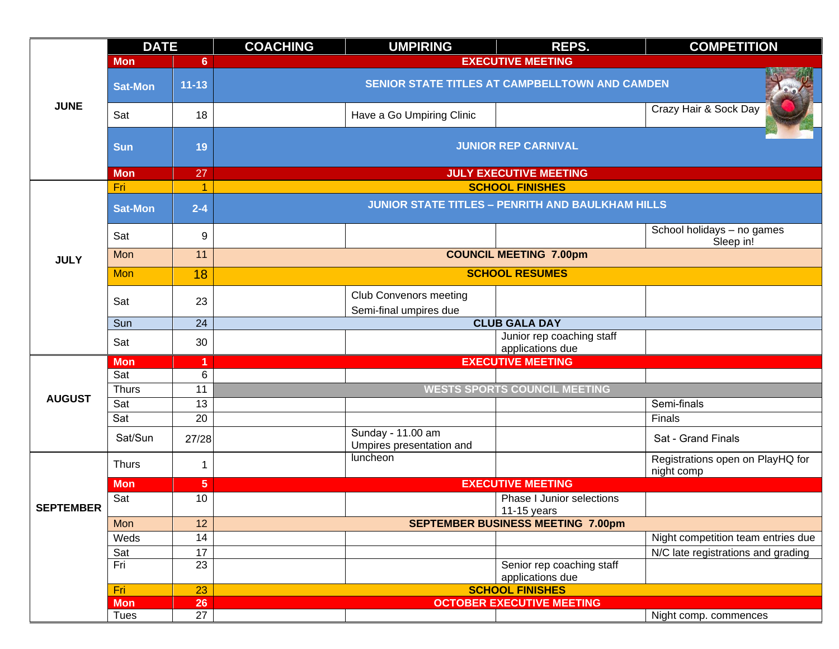|                  | <b>DATE</b>                                                                                                                                                                   |                 | <b>COACHING</b>                                | <b>UMPIRING</b>                                         | REPS.                                                   | <b>COMPETITION</b>                             |  |  |  |  |
|------------------|-------------------------------------------------------------------------------------------------------------------------------------------------------------------------------|-----------------|------------------------------------------------|---------------------------------------------------------|---------------------------------------------------------|------------------------------------------------|--|--|--|--|
|                  | <b>Mon</b>                                                                                                                                                                    | 6               |                                                | <b>EXECUTIVE MEETING</b>                                |                                                         |                                                |  |  |  |  |
|                  | <b>Sat-Mon</b>                                                                                                                                                                | $11 - 13$       | SENIOR STATE TITLES AT CAMPBELLTOWN AND CAMDEN |                                                         |                                                         |                                                |  |  |  |  |
| <b>JUNE</b>      | Sat                                                                                                                                                                           | 18              |                                                | Have a Go Umpiring Clinic                               |                                                         | Crazy Hair & Sock Day                          |  |  |  |  |
|                  | <b>Sun</b>                                                                                                                                                                    | 19              | <b>JUNIOR REP CARNIVAL</b>                     |                                                         |                                                         |                                                |  |  |  |  |
|                  | <b>Mon</b>                                                                                                                                                                    | 27              |                                                |                                                         | <b>JULY EXECUTIVE MEETING</b>                           |                                                |  |  |  |  |
|                  |                                                                                                                                                                               | $\overline{1}$  |                                                |                                                         | <b>SCHOOL FINISHES</b>                                  |                                                |  |  |  |  |
|                  | <b>Sat-Mon</b>                                                                                                                                                                | $2 - 4$         |                                                |                                                         | <b>JUNIOR STATE TITLES - PENRITH AND BAULKHAM HILLS</b> |                                                |  |  |  |  |
|                  | Sat                                                                                                                                                                           | 9               |                                                |                                                         |                                                         | School holidays - no games<br>Sleep in!        |  |  |  |  |
| <b>JULY</b>      | Mon                                                                                                                                                                           | 11              |                                                |                                                         | <b>COUNCIL MEETING 7.00pm</b>                           |                                                |  |  |  |  |
|                  | Fri<br>Mon<br>Sat<br>Sun<br>Sat<br><b>Mon</b><br>Sat<br><b>Thurs</b><br>Sat<br>Sat<br>Sat/Sun<br><b>Thurs</b><br><b>Mon</b><br>Sat<br><b>Mon</b><br>Weds<br>Sat<br>Fri<br>Fri | 18              |                                                |                                                         | <b>SCHOOL RESUMES</b>                                   |                                                |  |  |  |  |
|                  |                                                                                                                                                                               | 23              |                                                | <b>Club Convenors meeting</b><br>Semi-final umpires due |                                                         |                                                |  |  |  |  |
|                  |                                                                                                                                                                               | 24              |                                                |                                                         | <b>CLUB GALA DAY</b>                                    |                                                |  |  |  |  |
|                  |                                                                                                                                                                               | 30              |                                                |                                                         | Junior rep coaching staff<br>applications due           |                                                |  |  |  |  |
|                  |                                                                                                                                                                               |                 |                                                |                                                         | <b>EXECUTIVE MEETING</b>                                |                                                |  |  |  |  |
|                  |                                                                                                                                                                               | 6               |                                                |                                                         |                                                         |                                                |  |  |  |  |
| <b>AUGUST</b>    |                                                                                                                                                                               | 11              |                                                |                                                         | <b>WESTS SPORTS COUNCIL MEETING</b>                     |                                                |  |  |  |  |
|                  |                                                                                                                                                                               | 13              |                                                |                                                         |                                                         | Semi-finals                                    |  |  |  |  |
|                  |                                                                                                                                                                               | $\overline{20}$ |                                                |                                                         |                                                         | Finals                                         |  |  |  |  |
|                  |                                                                                                                                                                               | 27/28           |                                                | Sunday - 11.00 am<br>Umpires presentation and           |                                                         | Sat - Grand Finals                             |  |  |  |  |
|                  |                                                                                                                                                                               | 1               |                                                | luncheon                                                |                                                         | Registrations open on PlayHQ for<br>night comp |  |  |  |  |
|                  |                                                                                                                                                                               | $5\phantom{.0}$ |                                                |                                                         | <b>EXECUTIVE MEETING</b>                                |                                                |  |  |  |  |
| <b>SEPTEMBER</b> |                                                                                                                                                                               | 10              |                                                |                                                         | Phase I Junior selections<br>11-15 years                |                                                |  |  |  |  |
|                  |                                                                                                                                                                               | 12              |                                                |                                                         | <b>SEPTEMBER BUSINESS MEETING 7.00pm</b>                |                                                |  |  |  |  |
|                  |                                                                                                                                                                               | 14              |                                                |                                                         |                                                         | Night competition team entries due             |  |  |  |  |
|                  |                                                                                                                                                                               | 17              |                                                |                                                         |                                                         | N/C late registrations and grading             |  |  |  |  |
|                  |                                                                                                                                                                               | 23              |                                                |                                                         | Senior rep coaching staff<br>applications due           |                                                |  |  |  |  |
|                  |                                                                                                                                                                               | 23              |                                                |                                                         | <b>SCHOOL FINISHES</b>                                  |                                                |  |  |  |  |
|                  | <b>Mon</b>                                                                                                                                                                    | <b>26</b>       |                                                |                                                         | <b>OCTOBER EXECUTIVE MEETING</b>                        |                                                |  |  |  |  |
|                  | Tues                                                                                                                                                                          | 27              |                                                |                                                         |                                                         | Night comp. commences                          |  |  |  |  |